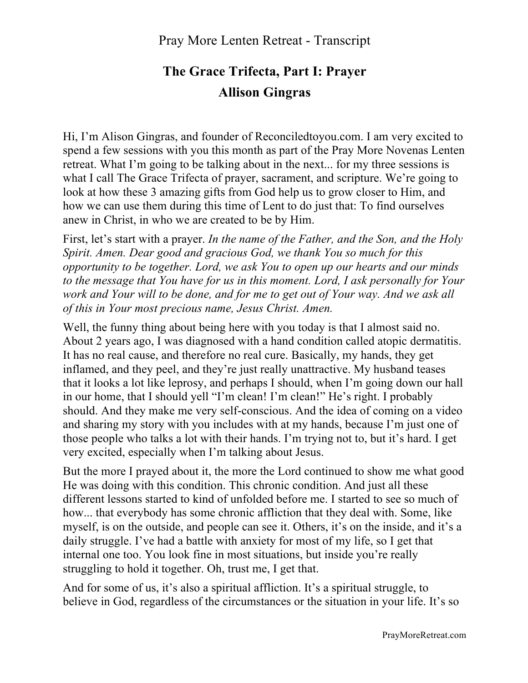## Pray More Lenten Retreat - Transcript

## **The Grace Trifecta, Part I: Prayer Allison Gingras**

Hi, I'm Alison Gingras, and founder of Reconciledtoyou.com. I am very excited to spend a few sessions with you this month as part of the Pray More Novenas Lenten retreat. What I'm going to be talking about in the next... for my three sessions is what I call The Grace Trifecta of prayer, sacrament, and scripture. We're going to look at how these 3 amazing gifts from God help us to grow closer to Him, and how we can use them during this time of Lent to do just that: To find ourselves anew in Christ, in who we are created to be by Him.

First, let's start with a prayer. *In the name of the Father, and the Son, and the Holy Spirit. Amen. Dear good and gracious God, we thank You so much for this opportunity to be together. Lord, we ask You to open up our hearts and our minds to the message that You have for us in this moment. Lord, I ask personally for Your work and Your will to be done, and for me to get out of Your way. And we ask all of this in Your most precious name, Jesus Christ. Amen.*

Well, the funny thing about being here with you today is that I almost said no. About 2 years ago, I was diagnosed with a hand condition called atopic dermatitis. It has no real cause, and therefore no real cure. Basically, my hands, they get inflamed, and they peel, and they're just really unattractive. My husband teases that it looks a lot like leprosy, and perhaps I should, when I'm going down our hall in our home, that I should yell "I'm clean! I'm clean!" He's right. I probably should. And they make me very self-conscious. And the idea of coming on a video and sharing my story with you includes with at my hands, because I'm just one of those people who talks a lot with their hands. I'm trying not to, but it's hard. I get very excited, especially when I'm talking about Jesus.

But the more I prayed about it, the more the Lord continued to show me what good He was doing with this condition. This chronic condition. And just all these different lessons started to kind of unfolded before me. I started to see so much of how... that everybody has some chronic affliction that they deal with. Some, like myself, is on the outside, and people can see it. Others, it's on the inside, and it's a daily struggle. I've had a battle with anxiety for most of my life, so I get that internal one too. You look fine in most situations, but inside you're really struggling to hold it together. Oh, trust me, I get that.

And for some of us, it's also a spiritual affliction. It's a spiritual struggle, to believe in God, regardless of the circumstances or the situation in your life. It's so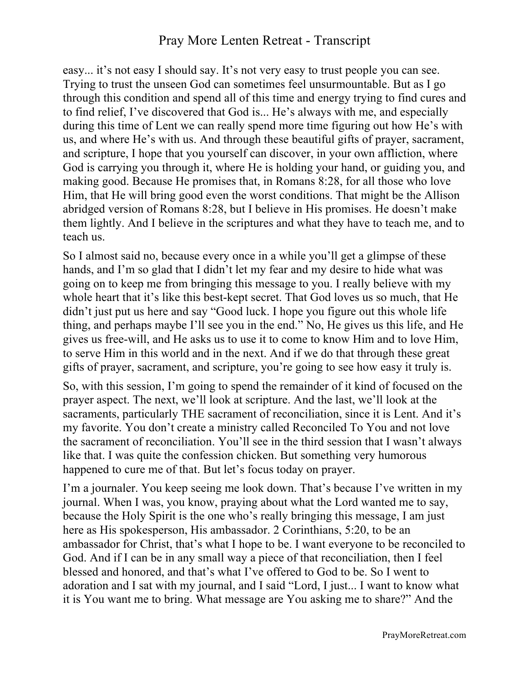## Pray More Lenten Retreat - Transcript

easy... it's not easy I should say. It's not very easy to trust people you can see. Trying to trust the unseen God can sometimes feel unsurmountable. But as I go through this condition and spend all of this time and energy trying to find cures and to find relief, I've discovered that God is... He's always with me, and especially during this time of Lent we can really spend more time figuring out how He's with us, and where He's with us. And through these beautiful gifts of prayer, sacrament, and scripture, I hope that you yourself can discover, in your own affliction, where God is carrying you through it, where He is holding your hand, or guiding you, and making good. Because He promises that, in Romans 8:28, for all those who love Him, that He will bring good even the worst conditions. That might be the Allison abridged version of Romans 8:28, but I believe in His promises. He doesn't make them lightly. And I believe in the scriptures and what they have to teach me, and to teach us.

So I almost said no, because every once in a while you'll get a glimpse of these hands, and I'm so glad that I didn't let my fear and my desire to hide what was going on to keep me from bringing this message to you. I really believe with my whole heart that it's like this best-kept secret. That God loves us so much, that He didn't just put us here and say "Good luck. I hope you figure out this whole life thing, and perhaps maybe I'll see you in the end." No, He gives us this life, and He gives us free-will, and He asks us to use it to come to know Him and to love Him, to serve Him in this world and in the next. And if we do that through these great gifts of prayer, sacrament, and scripture, you're going to see how easy it truly is.

So, with this session, I'm going to spend the remainder of it kind of focused on the prayer aspect. The next, we'll look at scripture. And the last, we'll look at the sacraments, particularly THE sacrament of reconciliation, since it is Lent. And it's my favorite. You don't create a ministry called Reconciled To You and not love the sacrament of reconciliation. You'll see in the third session that I wasn't always like that. I was quite the confession chicken. But something very humorous happened to cure me of that. But let's focus today on prayer.

I'm a journaler. You keep seeing me look down. That's because I've written in my journal. When I was, you know, praying about what the Lord wanted me to say, because the Holy Spirit is the one who's really bringing this message, I am just here as His spokesperson, His ambassador. 2 Corinthians, 5:20, to be an ambassador for Christ, that's what I hope to be. I want everyone to be reconciled to God. And if I can be in any small way a piece of that reconciliation, then I feel blessed and honored, and that's what I've offered to God to be. So I went to adoration and I sat with my journal, and I said "Lord, I just... I want to know what it is You want me to bring. What message are You asking me to share?" And the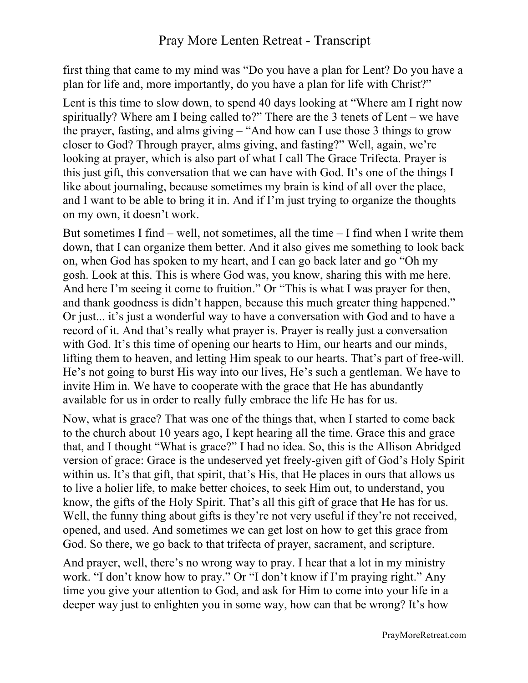first thing that came to my mind was "Do you have a plan for Lent? Do you have a plan for life and, more importantly, do you have a plan for life with Christ?"

Lent is this time to slow down, to spend 40 days looking at "Where am I right now spiritually? Where am I being called to?" There are the 3 tenets of Lent – we have the prayer, fasting, and alms giving – "And how can I use those 3 things to grow closer to God? Through prayer, alms giving, and fasting?" Well, again, we're looking at prayer, which is also part of what I call The Grace Trifecta. Prayer is this just gift, this conversation that we can have with God. It's one of the things I like about journaling, because sometimes my brain is kind of all over the place, and I want to be able to bring it in. And if I'm just trying to organize the thoughts on my own, it doesn't work.

But sometimes I find – well, not sometimes, all the time – I find when I write them down, that I can organize them better. And it also gives me something to look back on, when God has spoken to my heart, and I can go back later and go "Oh my gosh. Look at this. This is where God was, you know, sharing this with me here. And here I'm seeing it come to fruition." Or "This is what I was prayer for then, and thank goodness is didn't happen, because this much greater thing happened." Or just... it's just a wonderful way to have a conversation with God and to have a record of it. And that's really what prayer is. Prayer is really just a conversation with God. It's this time of opening our hearts to Him, our hearts and our minds, lifting them to heaven, and letting Him speak to our hearts. That's part of free-will. He's not going to burst His way into our lives, He's such a gentleman. We have to invite Him in. We have to cooperate with the grace that He has abundantly available for us in order to really fully embrace the life He has for us.

Now, what is grace? That was one of the things that, when I started to come back to the church about 10 years ago, I kept hearing all the time. Grace this and grace that, and I thought "What is grace?" I had no idea. So, this is the Allison Abridged version of grace: Grace is the undeserved yet freely-given gift of God's Holy Spirit within us. It's that gift, that spirit, that's His, that He places in ours that allows us to live a holier life, to make better choices, to seek Him out, to understand, you know, the gifts of the Holy Spirit. That's all this gift of grace that He has for us. Well, the funny thing about gifts is they're not very useful if they're not received, opened, and used. And sometimes we can get lost on how to get this grace from God. So there, we go back to that trifecta of prayer, sacrament, and scripture.

And prayer, well, there's no wrong way to pray. I hear that a lot in my ministry work. "I don't know how to pray." Or "I don't know if I'm praying right." Any time you give your attention to God, and ask for Him to come into your life in a deeper way just to enlighten you in some way, how can that be wrong? It's how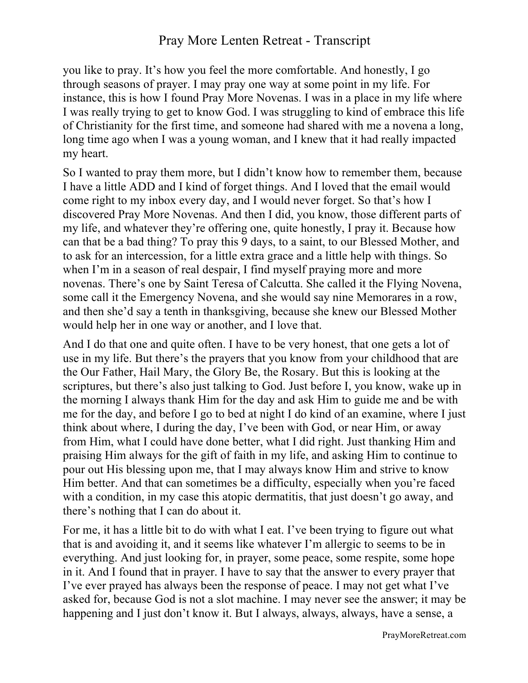## Pray More Lenten Retreat - Transcript

you like to pray. It's how you feel the more comfortable. And honestly, I go through seasons of prayer. I may pray one way at some point in my life. For instance, this is how I found Pray More Novenas. I was in a place in my life where I was really trying to get to know God. I was struggling to kind of embrace this life of Christianity for the first time, and someone had shared with me a novena a long, long time ago when I was a young woman, and I knew that it had really impacted my heart.

So I wanted to pray them more, but I didn't know how to remember them, because I have a little ADD and I kind of forget things. And I loved that the email would come right to my inbox every day, and I would never forget. So that's how I discovered Pray More Novenas. And then I did, you know, those different parts of my life, and whatever they're offering one, quite honestly, I pray it. Because how can that be a bad thing? To pray this 9 days, to a saint, to our Blessed Mother, and to ask for an intercession, for a little extra grace and a little help with things. So when I'm in a season of real despair, I find myself praying more and more novenas. There's one by Saint Teresa of Calcutta. She called it the Flying Novena, some call it the Emergency Novena, and she would say nine Memorares in a row, and then she'd say a tenth in thanksgiving, because she knew our Blessed Mother would help her in one way or another, and I love that.

And I do that one and quite often. I have to be very honest, that one gets a lot of use in my life. But there's the prayers that you know from your childhood that are the Our Father, Hail Mary, the Glory Be, the Rosary. But this is looking at the scriptures, but there's also just talking to God. Just before I, you know, wake up in the morning I always thank Him for the day and ask Him to guide me and be with me for the day, and before I go to bed at night I do kind of an examine, where I just think about where, I during the day, I've been with God, or near Him, or away from Him, what I could have done better, what I did right. Just thanking Him and praising Him always for the gift of faith in my life, and asking Him to continue to pour out His blessing upon me, that I may always know Him and strive to know Him better. And that can sometimes be a difficulty, especially when you're faced with a condition, in my case this atopic dermatitis, that just doesn't go away, and there's nothing that I can do about it.

For me, it has a little bit to do with what I eat. I've been trying to figure out what that is and avoiding it, and it seems like whatever I'm allergic to seems to be in everything. And just looking for, in prayer, some peace, some respite, some hope in it. And I found that in prayer. I have to say that the answer to every prayer that I've ever prayed has always been the response of peace. I may not get what I've asked for, because God is not a slot machine. I may never see the answer; it may be happening and I just don't know it. But I always, always, always, have a sense, a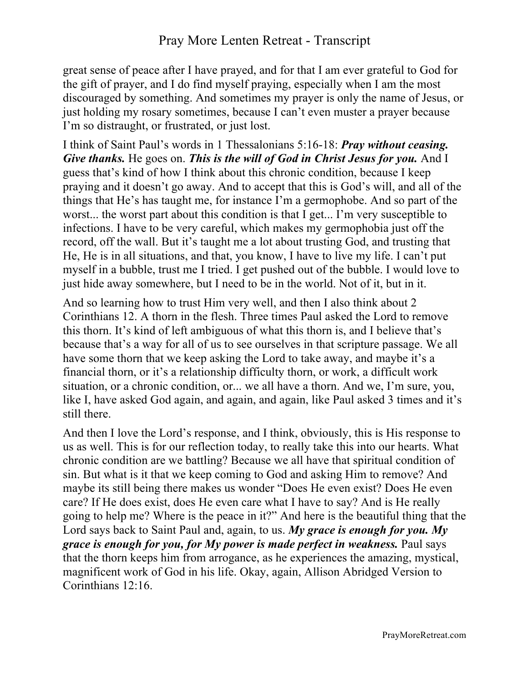great sense of peace after I have prayed, and for that I am ever grateful to God for the gift of prayer, and I do find myself praying, especially when I am the most discouraged by something. And sometimes my prayer is only the name of Jesus, or just holding my rosary sometimes, because I can't even muster a prayer because I'm so distraught, or frustrated, or just lost.

I think of Saint Paul's words in 1 Thessalonians 5:16-18: *Pray without ceasing. Give thanks.* He goes on. *This is the will of God in Christ Jesus for you.* And I guess that's kind of how I think about this chronic condition, because I keep praying and it doesn't go away. And to accept that this is God's will, and all of the things that He's has taught me, for instance I'm a germophobe. And so part of the worst... the worst part about this condition is that I get... I'm very susceptible to infections. I have to be very careful, which makes my germophobia just off the record, off the wall. But it's taught me a lot about trusting God, and trusting that He, He is in all situations, and that, you know, I have to live my life. I can't put myself in a bubble, trust me I tried. I get pushed out of the bubble. I would love to just hide away somewhere, but I need to be in the world. Not of it, but in it.

And so learning how to trust Him very well, and then I also think about 2 Corinthians 12. A thorn in the flesh. Three times Paul asked the Lord to remove this thorn. It's kind of left ambiguous of what this thorn is, and I believe that's because that's a way for all of us to see ourselves in that scripture passage. We all have some thorn that we keep asking the Lord to take away, and maybe it's a financial thorn, or it's a relationship difficulty thorn, or work, a difficult work situation, or a chronic condition, or... we all have a thorn. And we, I'm sure, you, like I, have asked God again, and again, and again, like Paul asked 3 times and it's still there.

And then I love the Lord's response, and I think, obviously, this is His response to us as well. This is for our reflection today, to really take this into our hearts. What chronic condition are we battling? Because we all have that spiritual condition of sin. But what is it that we keep coming to God and asking Him to remove? And maybe its still being there makes us wonder "Does He even exist? Does He even care? If He does exist, does He even care what I have to say? And is He really going to help me? Where is the peace in it?" And here is the beautiful thing that the Lord says back to Saint Paul and, again, to us. *My grace is enough for you. My grace is enough for you, for My power is made perfect in weakness.* Paul says that the thorn keeps him from arrogance, as he experiences the amazing, mystical, magnificent work of God in his life. Okay, again, Allison Abridged Version to Corinthians 12:16.